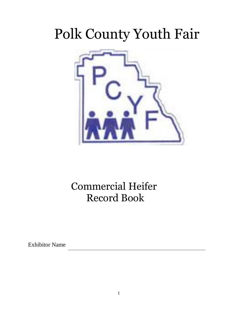# Polk County Youth Fair



# Commercial Heifer Record Book

Exhibitor Name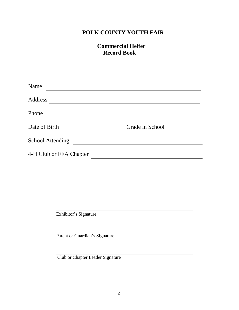## **POLK COUNTY YOUTH FAIR**

# **Commercial Heifer Record Book**

| Name                    |                 |  |
|-------------------------|-----------------|--|
| Address                 |                 |  |
| Phone                   |                 |  |
| Date of Birth           | Grade in School |  |
| <b>School Attending</b> |                 |  |
| 4-H Club or FFA Chapter |                 |  |

Exhibitor's Signature

Parent or Guardian's Signature

Club or Chapter Leader Signature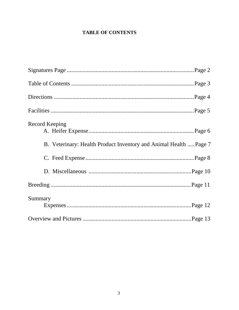### **TABLE OF CONTENTS**

| Record Keeping                                                    |
|-------------------------------------------------------------------|
| B. Veterinary: Health Product Inventory and Animal Health  Page 7 |
|                                                                   |
|                                                                   |
|                                                                   |
| Summary                                                           |
|                                                                   |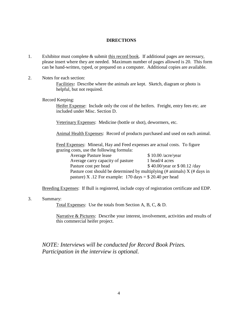#### **DIRECTIONS**

- 1. Exhibitor must complete & submit this record book. If additional pages are necessary, please insert where they are needed. Maximum number of pages allowed is 20. This form can be hand-written, typed, or prepared on a computer. Additional copies are available.
- 2. Notes for each section:

Facilities**:** Describe where the animals are kept. Sketch, diagram or photo is helpful, but not required.

Record Keeping:

Heifer Expense: Include only the cost of the heifers. Freight, entry fees etc. are included under Misc. Section D.

Veterinary Expenses: Medicine (bottle or shot), dewormers, etc.

Animal Health Expenses: Record of products purchased and used on each animal.

Feed Expenses: Mineral, Hay and Feed expenses are actual costs. To figure grazing costs, use the following formula:

| <b>Average Pasture lease</b>                                                | $$10.00 / \text{acre/year}$ |
|-----------------------------------------------------------------------------|-----------------------------|
| Average carry capacity of pasture                                           | 1 head/4 acres              |
| Pasture cost per head                                                       | \$40.00/year or \$00.12/day |
| Pasture cost should be determined by multiplying (# animals) $X$ (# days in |                             |
| pasture) X .12 For example: 170 days = $$20.40$ per head                    |                             |

Breeding Expenses: If Bull is registered, include copy of registration certificate and EDP.

3. Summary:

Total Expenses: Use the totals from Section A, B, C, & D.

Narrative & Pictures: Describe your interest, involvement, activities and results of this commercial heifer project.

*NOTE: Interviews will be conducted for Record Book Prizes. Participation in the interview is optional.*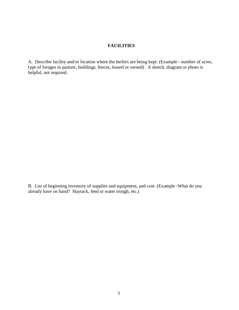#### **FACILITIES**

A. Describe facility and/or location where the heifers are being kept: (Example - number of acres, type of forages in pasture, buildings, fences, leased or owned) A sketch, diagram or photo is helpful, not required.

B. List of beginning inventory of supplies and equipment, and cost: (Example -What do you already have on hand? Hayrack, feed or water trough, etc.)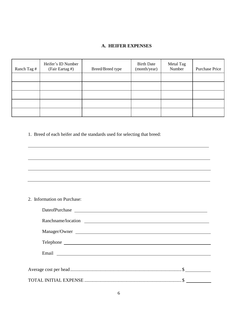#### **A. HEIFER EXPENSES**

| Ranch Tag # | Heifer's ID Number<br>(Fair Eartag #) | Breed/Breed type | <b>Birth Date</b><br>(month/year) | Metal Tag<br>Number | <b>Purchase Price</b> |
|-------------|---------------------------------------|------------------|-----------------------------------|---------------------|-----------------------|
|             |                                       |                  |                                   |                     |                       |
|             |                                       |                  |                                   |                     |                       |
|             |                                       |                  |                                   |                     |                       |
|             |                                       |                  |                                   |                     |                       |
|             |                                       |                  |                                   |                     |                       |

1. Breed of each heifer and the standards used for selecting that breed:

2. Information on Purchase:

| DateofPurchase                                                                                                                                                                                                                 |
|--------------------------------------------------------------------------------------------------------------------------------------------------------------------------------------------------------------------------------|
|                                                                                                                                                                                                                                |
| Manager/Owner                                                                                                                                                                                                                  |
|                                                                                                                                                                                                                                |
| Email experience and the contract of the contract of the contract of the contract of the contract of the contract of the contract of the contract of the contract of the contract of the contract of the contract of the contr |
|                                                                                                                                                                                                                                |
|                                                                                                                                                                                                                                |
|                                                                                                                                                                                                                                |

<u> 1989 - Johann Stein, marwolaethau a bhann an t-Amhain Aonaich an t-Amhain Aonaich an t-Amhain Aonaich an t-A</u>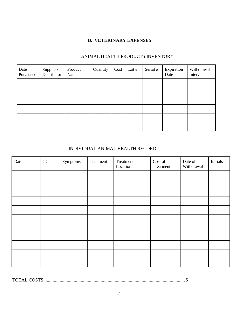#### **B. VETERINARY EXPENSES**

#### ANIMAL HEALTH PRODUCTS INVENTORY

| Date<br>Purchased | Supplier/<br>Distributor | Product<br>Name | Quantity | Cost | Lot $#$ | Serial # | Expiration<br>Date | Withdrawal<br>interval |
|-------------------|--------------------------|-----------------|----------|------|---------|----------|--------------------|------------------------|
|                   |                          |                 |          |      |         |          |                    |                        |
|                   |                          |                 |          |      |         |          |                    |                        |
|                   |                          |                 |          |      |         |          |                    |                        |
|                   |                          |                 |          |      |         |          |                    |                        |
|                   |                          |                 |          |      |         |          |                    |                        |
|                   |                          |                 |          |      |         |          |                    |                        |

#### INDIVIDUAL ANIMAL HEALTH RECORD

| Date | $\rm ID$ | Symptoms | Treatment | Treatment<br>Location | Cost of<br>Treatment | Date of<br>Withdrawal | <b>Initials</b> |
|------|----------|----------|-----------|-----------------------|----------------------|-----------------------|-----------------|
|      |          |          |           |                       |                      |                       |                 |
|      |          |          |           |                       |                      |                       |                 |
|      |          |          |           |                       |                      |                       |                 |
|      |          |          |           |                       |                      |                       |                 |
|      |          |          |           |                       |                      |                       |                 |
|      |          |          |           |                       |                      |                       |                 |
|      |          |          |           |                       |                      |                       |                 |
|      |          |          |           |                       |                      |                       |                 |
|      |          |          |           |                       |                      |                       |                 |
|      |          |          |           |                       |                      |                       |                 |
|      |          |          |           |                       |                      |                       |                 |

TOTAL COSTS ........................................................................................................................ \$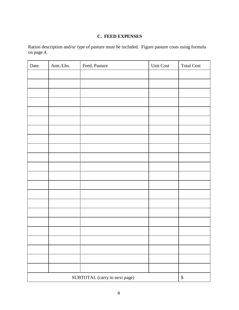#### **C. FEED EXPENSES**

Ration description and/or type of pasture must be included. Figure pasture costs using formula on page 4.

| Date | Amt./Lbs.         | Feed, Pasture | Unit Cost | <b>Total Cost</b> |
|------|-------------------|---------------|-----------|-------------------|
|      |                   |               |           |                   |
|      |                   |               |           |                   |
|      |                   |               |           |                   |
|      |                   |               |           |                   |
|      |                   |               |           |                   |
|      |                   |               |           |                   |
|      |                   |               |           |                   |
|      |                   |               |           |                   |
|      |                   |               |           |                   |
|      |                   |               |           |                   |
|      |                   |               |           |                   |
|      |                   |               |           |                   |
|      |                   |               |           |                   |
|      |                   |               |           |                   |
|      |                   |               |           |                   |
|      |                   |               |           |                   |
|      |                   |               |           |                   |
|      |                   |               |           |                   |
|      |                   |               |           |                   |
|      |                   |               |           |                   |
|      |                   |               |           |                   |
|      |                   |               |           |                   |
|      | $\boldsymbol{\$}$ |               |           |                   |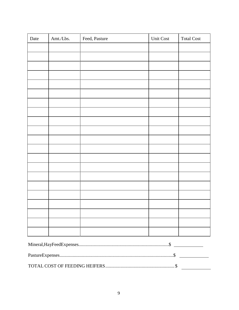| Date | Amt./Lbs. | Feed, Pasture | Unit Cost | <b>Total Cost</b> |
|------|-----------|---------------|-----------|-------------------|
|      |           |               |           |                   |
|      |           |               |           |                   |
|      |           |               |           |                   |
|      |           |               |           |                   |
|      |           |               |           |                   |
|      |           |               |           |                   |
|      |           |               |           |                   |
|      |           |               |           |                   |
|      |           |               |           |                   |
|      |           |               |           |                   |
|      |           |               |           |                   |
|      |           |               |           |                   |
|      |           |               |           |                   |
|      |           |               |           |                   |
|      |           |               |           |                   |
|      |           |               |           |                   |
|      |           |               |           |                   |
|      |           |               |           |                   |
|      |           |               |           |                   |
|      |           |               |           |                   |
|      |           |               |           |                   |
|      |           |               |           |                   |
|      |           |               |           |                   |
|      |           |               |           |                   |

 $\mathbb{R}$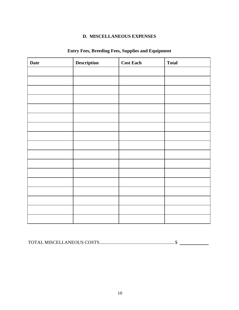#### D. MISCELLANEOUS EXPENSES

#### **Entry Fees, Breeding Fees, Supplies and Equipment**

| <b>Date</b> | Description | <b>Cost Each</b> | <b>Total</b> |
|-------------|-------------|------------------|--------------|
|             |             |                  |              |
|             |             |                  |              |
|             |             |                  |              |
|             |             |                  |              |
|             |             |                  |              |
|             |             |                  |              |
|             |             |                  |              |
|             |             |                  |              |
|             |             |                  |              |
|             |             |                  |              |
|             |             |                  |              |
|             |             |                  |              |
|             |             |                  |              |
|             |             |                  |              |
|             |             |                  |              |
|             |             |                  |              |
|             |             |                  |              |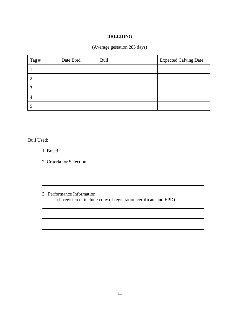#### **BREEDING**

| (Average gestation 283 days) |  |
|------------------------------|--|
|------------------------------|--|

| Tag# | Date Bred | Bull | <b>Expected Calving Date</b> |
|------|-----------|------|------------------------------|
|      |           |      |                              |
|      |           |      |                              |
|      |           |      |                              |
|      |           |      |                              |
|      |           |      |                              |

Bull Used:

1. Breed

2. Criteria for Selection:

<u> 1989 - Johann Stoff, amerikansk politiker (\* 1908)</u>

<u> 1989 - Johann Stoff, deutscher Stoff, der Stoff, der Stoff, der Stoff, der Stoff, der Stoff, der Stoff, der S</u>

<u> 1989 - Johann Barn, amerikansk politiker (d. 1989)</u>

3. Performance Information

(If registered, include copy of registration certificate and EPD)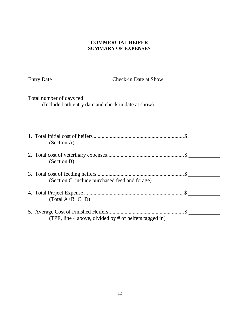#### **COMMERCIAL HEIFER SUMMARY OF EXPENSES**

| (Include both entry date and check in date at show) |                                                        |
|-----------------------------------------------------|--------------------------------------------------------|
|                                                     |                                                        |
|                                                     |                                                        |
| (Section A)                                         |                                                        |
| (Section B)                                         |                                                        |
| (Section C, include purchased feed and forage)      |                                                        |
| $(Total A+B+C+D)$                                   |                                                        |
|                                                     | (TPE, line 4 above, divided by # of heifers tagged in) |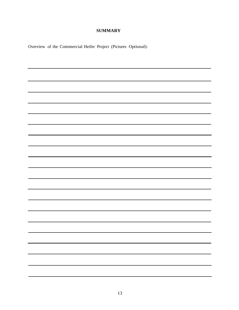#### **SUMMARY**

Overview of the Commercial Heifer Project (Pictures Optional):